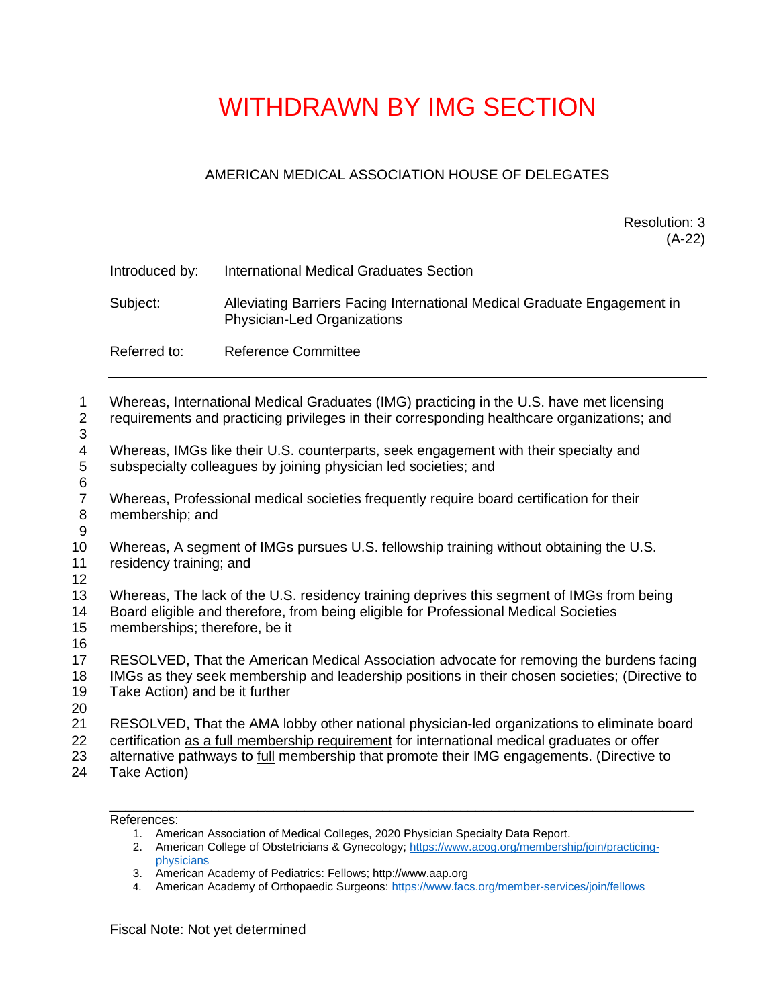## WITHDRAWN BY IMG SECTION

## AMERICAN MEDICAL ASSOCIATION HOUSE OF DELEGATES

Resolution: 3 (A-22)

| Introduced by: | International Medical Graduates Section                                                                 |
|----------------|---------------------------------------------------------------------------------------------------------|
| Subject:       | Alleviating Barriers Facing International Medical Graduate Engagement in<br>Physician-Led Organizations |
| Referred to:   | <b>Reference Committee</b>                                                                              |
|                |                                                                                                         |

| 1<br>2<br>3                | Whereas, International Medical Graduates (IMG) practicing in the U.S. have met licensing<br>requirements and practicing privileges in their corresponding healthcare organizations; and                                                                                                                |
|----------------------------|--------------------------------------------------------------------------------------------------------------------------------------------------------------------------------------------------------------------------------------------------------------------------------------------------------|
| 4<br>5                     | Whereas, IMGs like their U.S. counterparts, seek engagement with their specialty and<br>subspecialty colleagues by joining physician led societies; and                                                                                                                                                |
| 6                          |                                                                                                                                                                                                                                                                                                        |
| $\overline{7}$<br>$\,8\,$  | Whereas, Professional medical societies frequently require board certification for their<br>membership; and                                                                                                                                                                                            |
| $9\,$                      |                                                                                                                                                                                                                                                                                                        |
| 10<br>11<br>12             | Whereas, A segment of IMGs pursues U.S. fellowship training without obtaining the U.S.<br>residency training; and                                                                                                                                                                                      |
| 13<br>14<br>15             | Whereas, The lack of the U.S. residency training deprives this segment of IMGs from being<br>Board eligible and therefore, from being eligible for Professional Medical Societies<br>memberships; therefore, be it                                                                                     |
| 16<br>17<br>18<br>19<br>20 | RESOLVED, That the American Medical Association advocate for removing the burdens facing<br>IMGs as they seek membership and leadership positions in their chosen societies; (Directive to<br>Take Action) and be it further                                                                           |
| 21<br>22<br>23<br>24       | RESOLVED, That the AMA lobby other national physician-led organizations to eliminate board<br>certification as a full membership requirement for international medical graduates or offer<br>alternative pathways to full membership that promote their IMG engagements. (Directive to<br>Take Action) |
|                            |                                                                                                                                                                                                                                                                                                        |

References:

- 1. American Association of Medical Colleges, 2020 Physician Specialty Data Report.
- 2. American College of Obstetricians & Gynecology; [https://www.acog.org/membership/join/practicing](https://urldefense.com/v3/__https:/www.acog.org/membership/join/practicing-physicians__;!!AI0rnoUB!6vxULDv0CJ6irjVSaQxbBx-Koegc0DJpvudqeFiDnDF-pa_e_7_J9fp6M07htyzlRA4iFqE7pXBnlJ2r4OcPBvg2ADArAbHMxgDe$)[physicians](https://urldefense.com/v3/__https:/www.acog.org/membership/join/practicing-physicians__;!!AI0rnoUB!6vxULDv0CJ6irjVSaQxbBx-Koegc0DJpvudqeFiDnDF-pa_e_7_J9fp6M07htyzlRA4iFqE7pXBnlJ2r4OcPBvg2ADArAbHMxgDe$)
- 3. American Academy of Pediatrics: Fellows; http:[//www.aap.org](https://urldefense.com/v3/__http:/www.aap.org__;!!AI0rnoUB!6vxULDv0CJ6irjVSaQxbBx-Koegc0DJpvudqeFiDnDF-pa_e_7_J9fp6M07htyzlRA4iFqE7pXBnlJ2r4OcPBvg2ADArAdz60ANa$)
- 4. American Academy of Orthopaedic Surgeons: [https://www.facs.org/member-services/join/fellows](https://urldefense.com/v3/__https:/www.facs.org/member-services/join/fellows__;!!AI0rnoUB!6vxULDv0CJ6irjVSaQxbBx-Koegc0DJpvudqeFiDnDF-pa_e_7_J9fp6M07htyzlRA4iFqE7pXBnlJ2r4OcPBvg2ADArARE09ZBX$)